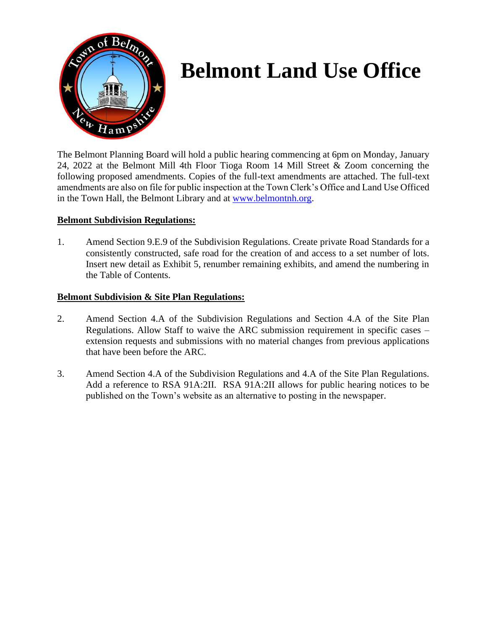

# **Belmont Land Use Office**

The Belmont Planning Board will hold a public hearing commencing at 6pm on Monday, January 24, 2022 at the Belmont Mill 4th Floor Tioga Room 14 Mill Street & Zoom concerning the following proposed amendments. Copies of the full-text amendments are attached. The full-text amendments are also on file for public inspection at the Town Clerk's Office and Land Use Officed in the Town Hall, the Belmont Library and at [www.belmontnh.org.](http://www.belmontnh.org/)

# **Belmont Subdivision Regulations:**

1. Amend Section 9.E.9 of the Subdivision Regulations. Create private Road Standards for a consistently constructed, safe road for the creation of and access to a set number of lots. Insert new detail as Exhibit 5, renumber remaining exhibits, and amend the numbering in the Table of Contents.

## **Belmont Subdivision & Site Plan Regulations:**

- 2. Amend Section 4.A of the Subdivision Regulations and Section 4.A of the Site Plan Regulations. Allow Staff to waive the ARC submission requirement in specific cases – extension requests and submissions with no material changes from previous applications that have been before the ARC.
- 3. Amend Section 4.A of the Subdivision Regulations and 4.A of the Site Plan Regulations. Add a reference to RSA 91A:2II. RSA 91A:2II allows for public hearing notices to be published on the Town's website as an alternative to posting in the newspaper.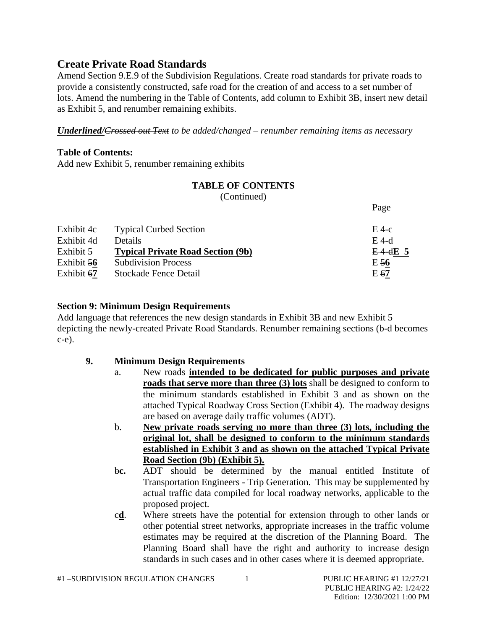# **Create Private Road Standards**

Amend Section 9.E.9 of the Subdivision Regulations. Create road standards for private roads to provide a consistently constructed, safe road for the creation of and access to a set number of lots. Amend the numbering in the Table of Contents, add column to Exhibit 3B, insert new detail as Exhibit 5, and renumber remaining exhibits.

*Underlined/Crossed out Text to be added/changed – renumber remaining items as necessary*

# **Table of Contents:**

Add new Exhibit 5, renumber remaining exhibits

# **TABLE OF CONTENTS**

(Continued)

|            |                                          | 1 asc      |
|------------|------------------------------------------|------------|
| Exhibit 4c | <b>Typical Curbed Section</b>            | $E$ 4-c    |
| Exhibit 4d | Details.                                 | $E$ 4-d    |
| Exhibit 5  | <b>Typical Private Road Section (9b)</b> | $E-4-4E$ 5 |
| Exhibit 56 | <b>Subdivision Process</b>               | $E_{56}$   |
| Exhibit 67 | Stockade Fence Detail                    | E 67       |

# **Section 9: Minimum Design Requirements**

Add language that references the new design standards in Exhibit 3B and new Exhibit 5 depicting the newly-created Private Road Standards. Renumber remaining sections (b-d becomes c-e).

# **9. Minimum Design Requirements**

- a. New roads **intended to be dedicated for public purposes and private roads that serve more than three (3) lots** shall be designed to conform to the minimum standards established in Exhibit 3 and as shown on the attached Typical Roadway Cross Section (Exhibit 4). The roadway designs are based on average daily traffic volumes (ADT).
- b. **New private roads serving no more than three (3) lots, including the original lot, shall be designed to conform to the minimum standards established in Exhibit 3 and as shown on the attached Typical Private Road Section (9b) (Exhibit 5).**

b**c.** ADT should be determined by the manual entitled Institute of Transportation Engineers - Trip Generation. This may be supplemented by actual traffic data compiled for local roadway networks, applicable to the proposed project.

c**d**. Where streets have the potential for extension through to other lands or other potential street networks, appropriate increases in the traffic volume estimates may be required at the discretion of the Planning Board. The Planning Board shall have the right and authority to increase design standards in such cases and in other cases where it is deemed appropriate.

 $D_{0}q_{0}$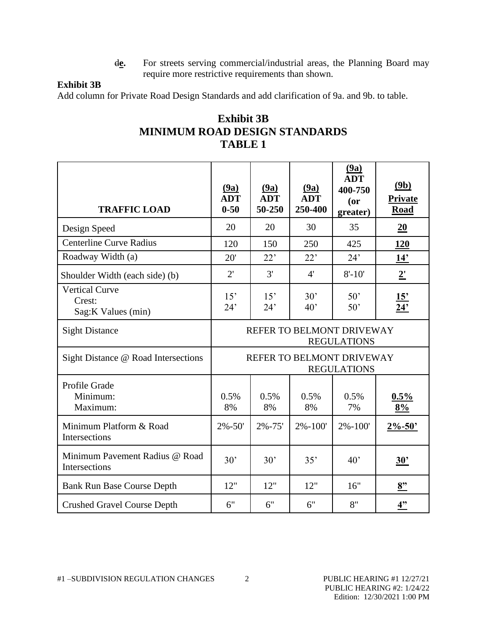d**e.** For streets serving commercial/industrial areas, the Planning Board may require more restrictive requirements than shown.

# **Exhibit 3B**

Add column for Private Road Design Standards and add clarification of 9a. and 9b. to table.

| TABLE 1                                                |                                                 |                              |                               |                                                     |                         |  |  |  |
|--------------------------------------------------------|-------------------------------------------------|------------------------------|-------------------------------|-----------------------------------------------------|-------------------------|--|--|--|
| <b>TRAFFIC LOAD</b>                                    | (9a)<br><b>ADT</b><br>$0 - 50$                  | (9a)<br><b>ADT</b><br>50-250 | (9a)<br><b>ADT</b><br>250-400 | (9a)<br><b>ADT</b><br>400-750<br>$($ or<br>greater) | (9b)<br>Private<br>Road |  |  |  |
| Design Speed                                           | 20                                              | 20                           | 30                            | 35                                                  | 20                      |  |  |  |
| <b>Centerline Curve Radius</b>                         | 120                                             | 150                          | 250                           | 425                                                 | 120                     |  |  |  |
| Roadway Width (a)                                      | 20'                                             | 22'                          | 22'                           | 24'                                                 | 14'                     |  |  |  |
| Shoulder Width (each side) (b)                         | 2'                                              | 3'                           | $4^{\prime}$                  | $8' - 10'$                                          | $2^{\prime}$            |  |  |  |
| <b>Vertical Curve</b><br>Crest:<br>Sag: K Values (min) | 15'<br>24'                                      | 15'<br>24'                   | 30'<br>40'                    | 50'<br>50'                                          | 15'<br>$\overline{24}$  |  |  |  |
| <b>Sight Distance</b>                                  | REFER TO BELMONT DRIVEWAY<br><b>REGULATIONS</b> |                              |                               |                                                     |                         |  |  |  |
| Sight Distance @ Road Intersections                    | REFER TO BELMONT DRIVEWAY<br><b>REGULATIONS</b> |                              |                               |                                                     |                         |  |  |  |
| Profile Grade<br>Minimum:<br>Maximum:                  | 0.5%<br>8%                                      | 0.5%<br>8%                   | 0.5%<br>8%                    | 0.5%<br>7%                                          | 0.5%<br>8%              |  |  |  |
| Minimum Platform & Road<br>Intersections               | $2\% - 50'$                                     | $2\% - 75'$                  | $2\% - 100'$                  | $2\% - 100'$                                        | $2\% - 50'$             |  |  |  |
| Minimum Pavement Radius @ Road<br>Intersections        | 30'                                             | 30'                          | 35'                           | 40'                                                 | 30'                     |  |  |  |
| <b>Bank Run Base Course Depth</b>                      | 12"                                             | 12"                          | 12"                           | 16"                                                 | 8 <sup>2</sup>          |  |  |  |
| <b>Crushed Gravel Course Depth</b>                     | 6"                                              | 6"                           | 6"                            | 8"                                                  | 4"                      |  |  |  |

# **Exhibit 3B MINIMUM ROAD DESIGN STANDARDS TABLE 1**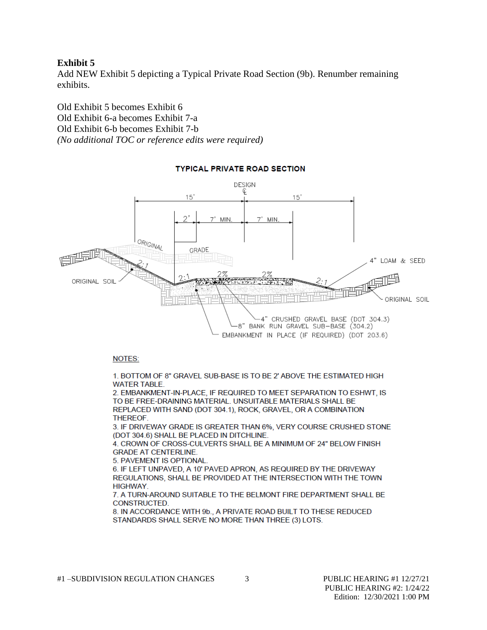### **Exhibit 5**

Add NEW Exhibit 5 depicting a Typical Private Road Section (9b). Renumber remaining exhibits.

Old Exhibit 5 becomes Exhibit 6 Old Exhibit 6-a becomes Exhibit 7-a Old Exhibit 6-b becomes Exhibit 7-b *(No additional TOC or reference edits were required)*



## **TYPICAL PRIVATE ROAD SECTION**

#### NOTES:

1. BOTTOM OF 8" GRAVEL SUB-BASE IS TO BE 2' ABOVE THE ESTIMATED HIGH **WATER TABLE.** 

2. EMBANKMENT-IN-PLACE. IF REQUIRED TO MEET SEPARATION TO ESHWT, IS TO BE FREE-DRAINING MATERIAL. UNSUITABLE MATERIALS SHALL BE REPLACED WITH SAND (DOT 304.1), ROCK, GRAVEL, OR A COMBINATION **THEREOF.** 

3. IF DRIVEWAY GRADE IS GREATER THAN 6%, VERY COURSE CRUSHED STONE (DOT 304.6) SHALL BE PLACED IN DITCHLINE.

4. CROWN OF CROSS-CULVERTS SHALL BE A MINIMUM OF 24" BELOW FINISH **GRADE AT CENTERLINE.** 

5. PAVEMENT IS OPTIONAL.

6. IF LEFT UNPAVED, A 10' PAVED APRON, AS REQUIRED BY THE DRIVEWAY REGULATIONS, SHALL BE PROVIDED AT THE INTERSECTION WITH THE TOWN **HIGHWAY.** 

7. A TURN-AROUND SUITABLE TO THE BELMONT FIRE DEPARTMENT SHALL BE CONSTRUCTED.

8. IN ACCORDANCE WITH 9b., A PRIVATE ROAD BUILT TO THESE REDUCED STANDARDS SHALL SERVE NO MORE THAN THREE (3) LOTS.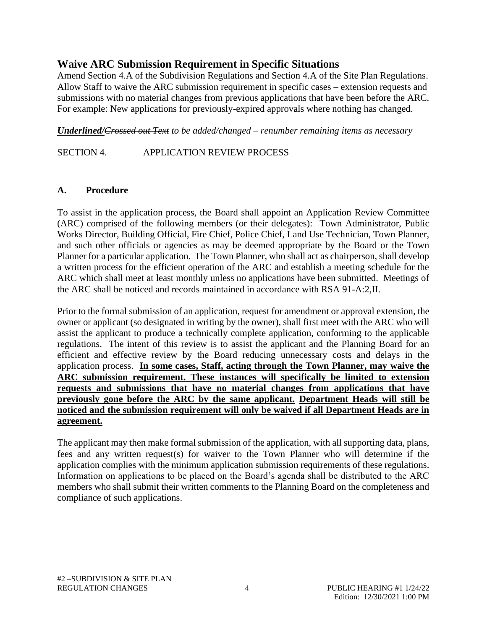# **Waive ARC Submission Requirement in Specific Situations**

Amend Section 4.A of the Subdivision Regulations and Section 4.A of the Site Plan Regulations. Allow Staff to waive the ARC submission requirement in specific cases – extension requests and submissions with no material changes from previous applications that have been before the ARC. For example: New applications for previously-expired approvals where nothing has changed.

*Underlined/Crossed out Text to be added/changed – renumber remaining items as necessary*

SECTION 4. APPLICATION REVIEW PROCESS

# **A. Procedure**

To assist in the application process, the Board shall appoint an Application Review Committee (ARC) comprised of the following members (or their delegates): Town Administrator, Public Works Director, Building Official, Fire Chief, Police Chief, Land Use Technician, Town Planner, and such other officials or agencies as may be deemed appropriate by the Board or the Town Planner for a particular application. The Town Planner, who shall act as chairperson, shall develop a written process for the efficient operation of the ARC and establish a meeting schedule for the ARC which shall meet at least monthly unless no applications have been submitted. Meetings of the ARC shall be noticed and records maintained in accordance with RSA 91-A:2,II.

Prior to the formal submission of an application, request for amendment or approval extension, the owner or applicant (so designated in writing by the owner), shall first meet with the ARC who will assist the applicant to produce a technically complete application, conforming to the applicable regulations. The intent of this review is to assist the applicant and the Planning Board for an efficient and effective review by the Board reducing unnecessary costs and delays in the application process. **In some cases, Staff, acting through the Town Planner, may waive the ARC submission requirement. These instances will specifically be limited to extension requests and submissions that have no material changes from applications that have previously gone before the ARC by the same applicant. Department Heads will still be noticed and the submission requirement will only be waived if all Department Heads are in agreement.**

The applicant may then make formal submission of the application, with all supporting data, plans, fees and any written request(s) for waiver to the Town Planner who will determine if the application complies with the minimum application submission requirements of these regulations. Information on applications to be placed on the Board's agenda shall be distributed to the ARC members who shall submit their written comments to the Planning Board on the completeness and compliance of such applications.